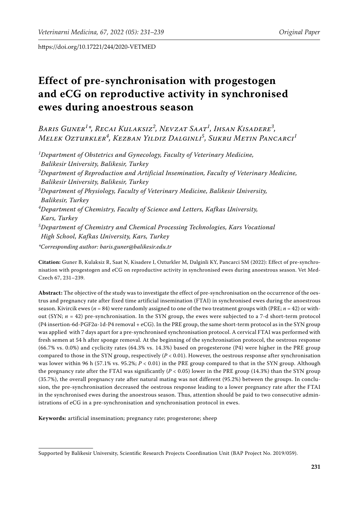# **Effect of pre-synchronisation with progestogen and eCG on reproductive activity in synchronised ewes during anoestrous season**

*Baris Guner<sup>1</sup> \*, Recai Kulaksiz<sup>2</sup> , Nevzat Saat<sup>1</sup> , Ihsan Kisadere<sup>3</sup> , Melek Ozturkler<sup>4</sup> , Kezban Yildiz Dalginli<sup>5</sup> , Sukru Metin Pancarci<sup>1</sup>*

*1 Department of Obstetrics and Gynecology, Faculty of Veterinary Medicine, Balikesir University, Balikesir, Turkey 2 Department of Reproduction and Artificial Insemination, Faculty of Veterinary Medicine, Balikesir University, Balikesir, Turkey 3 Department of Physiology, Faculty of Veterinary Medicine, Balikesir University, Balikesir, Turkey 4 Department of Chemistry, Faculty of Science and Letters, Kafkas University, Kars, Turkey 5 Department of Chemistry and Chemical Processing Technologies, Kars Vocational High School, Kafkas University, Kars, Turkey*

*\*Corresponding author: baris.guner@balikesir.edu.tr*

**Citation:** Guner B, Kulaksiz R, Saat N, Kisadere I, Ozturkler M, Dalginli KY, Pancarci SM (2022): Effect of pre-synchronisation with progestogen and eCG on reproductive activity in synchronised ewes during anoestrous season. Vet Med-Czech 67, 231–239.

**Abstract:** The objective of the study was to investigate the effect of pre-synchronisation on the occurrence of the oestrus and pregnancy rate after fixed time artificial insemination (FTAI) in synchronised ewes during the anoestrous season. Kivircik ewes (*n* = 84) were randomly assigned to one of the two treatment groups with (PRE; *n* = 42) or without (SYN; *n* = 42) pre-synchronisation. In the SYN group, the ewes were subjected to a 7-d short-term protocol (P4 insertion-6d-PGF2α-1d-P4 removal + eCG). In the PRE group, the same short-term protocol as in the SYN group was applied with 7 days apart for a pre-synchronised synchronisation protocol. A cervical FTAI was performed with fresh semen at 54 h after sponge removal. At the beginning of the synchronisation protocol, the oestrous response (66.7% vs. 0.0%) and cyclicity rates (64.3% vs. 14.3%) based on progesterone (P4) were higher in the PRE group compared to those in the SYN group, respectively  $(P < 0.01)$ . However, the oestrous response after synchronisation was lower within 96 h (57.1% vs. 95.2%; *P* < 0.01) in the PRE group compared to that in the SYN group. Although the pregnancy rate after the FTAI was significantly (*P* < 0.05) lower in the PRE group (14.3%) than the SYN group (35.7%), the overall pregnancy rate after natural mating was not different (95.2%) between the groups. In conclusion, the pre-synchronisation decreased the oestrous response leading to a lower pregnancy rate after the FTAI in the synchronised ewes during the anoestrous season. Thus, attention should be paid to two consecutive administrations of eCG in a pre-synchronisation and synchronisation protocol in ewes.

**Keywords:** artificial insemination; pregnancy rate; progesterone; sheep

Supported by Balikesir University, Scientific Research Projects Coordination Unit (BAP Project No. 2019/059).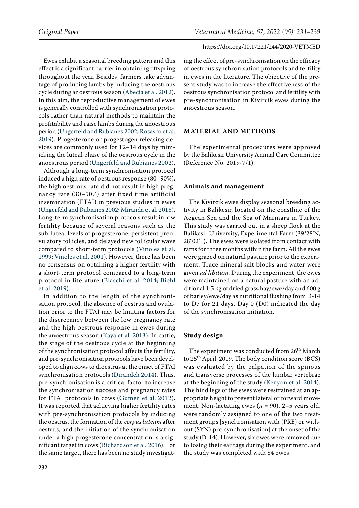Ewes exhibit a seasonal breeding pattern and this effect is a significant barrier in obtaining offspring throughout the year. Besides, farmers take advantage of producing lambs by inducing the oestrous cycle during anoestrous season [\(Abecia et al. 2012\)](#page-6-0). In this aim, the reproductive management of ewes is generally controlled with synchronisation protocols rather than natural methods to maintain the profitability and raise lambs during the anoestrous period ([Ungerfeld and Rubianes 2002;](#page-8-0) [Rosasco et al.](#page-7-0)  [2019\)](#page-7-0). Progesterone or progestogen releasing devices are commonly used for 12–14 days by mimicking the luteal phase of the oestrous cycle in the anoestrous period ([Ungerfeld and Rubianes 2002\)](#page-8-0).

Although a long-term synchronisation protocol induced a high rate of oestrous response (80–90%), the high oestrous rate did not result in high pregnancy rate (30–50%) after fixed time artificial insemination (FTAI) in previous studies in ewes [\(Ungerfeld and Rubianes 2002](#page-8-0); [Miranda et al. 2018\)](#page-7-1). Long-term synchronisation protocols result in low fertility because of several reasons such as the sub-luteal levels of progesterone, persistent preovulatory follicles, and delayed new follicular wave compared to short-term protocols ([Vinoles et al.](#page-8-1)  [1999;](#page-8-1) [Vinoles et al. 2001](#page-8-2)). However, there has been no consensus on obtaining a higher fertility with a short-term protocol compared to a long-term protocol in literature [\(Blaschi et al. 2014](#page-7-2); [Biehl](#page-7-3)  [et al. 2019\)](#page-7-3).

In addition to the length of the synchronisation protocol, the absence of oestrus and ovulation prior to the FTAI may be limiting factors for the discrepancy between the low pregnancy rate and the high oestrous response in ewes during the anoestrous season ([Kaya et al. 2013\)](#page-7-4). In cattle, the stage of the oestrous cycle at the beginning of the synchronisation protocol affects the fertility, and pre-synchronisation protocols have been developed to align cows to dioestrus at the onset of FTAI synchronisation protocols ([Dirandeh 2014](#page-7-5)). Thus, pre-synchronisation is a critical factor to increase the synchronisation success and pregnancy rates for FTAI protocols in cows ([Gumen et al. 2012](#page-7-6)). It was reported that achieving higher fertility rates with pre-synchronisation protocols by inducing the oestrus, the formation of the *corpus luteum* after oestrus, and the initiation of the synchronisation under a high progesterone concentration is a significant target in cows ([Richardson et al. 2016](#page-7-7)). For the same target, there has been no study investigating the effect of pre-synchronisation on the efficacy of oestrous synchronisation protocols and fertility in ewes in the literature. The objective of the present study was to increase the effectiveness of the oestrous synchronisation protocol and fertility with pre-synchronisation in Kivircik ewes during the anoestrous season.

# **MATERIAL AND METHODS**

The experimental procedures were approved by the Balikesir University Animal Care Committee (Reference No. 2019-7/1).

#### **Animals and management**

The Kivircik ewes display seasonal breeding activity in Balikesir, located on the coastline of the Aegean Sea and the Sea of Marmara in Turkey. This study was carried out in a sheep flock at the Balikesir University, Experimental Farm (39°28'N, 28°02'E). The ewes were isolated from contact with rams for three months within the farm. All the ewes were grazed on natural pasture prior to the experiment. Trace mineral salt blocks and water were given *ad libitum*. During the experiment, the ewes were maintained on a natural pasture with an additional 1.5 kg of dried grass hay/ewe/day and 600 g of barley/ewe/day as nutritional flushing from D-14 to D7 for 21 days. Day 0 (D0) indicated the day of the synchronisation initiation.

## **Study design**

The experiment was conducted from 26<sup>th</sup> March to 25<sup>th</sup> April, 2019. The body condition score (BCS) was evaluated by the palpation of the spinous and transverse processes of the lumbar vertebrae at the beginning of the study [\(Kenyon et al. 2014](#page-7-8)). The hind legs of the ewes were restrained at an appropriate height to prevent lateral or forward movement. Non-lactating ewes  $(n = 90)$ , 2–5 years old, were randomly assigned to one of the two treatment groups [synchronisation with (PRE) or without (SYN) pre-synchronisation] at the onset of the study (D-14). However, six ewes were removed due to losing their ear tags during the experiment, and the study was completed with 84 ewes.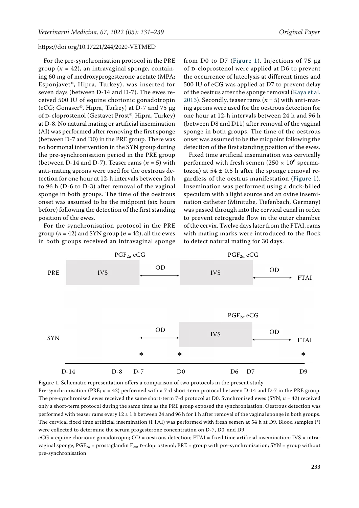For the pre-synchronisation protocol in the PRE group  $(n = 42)$ , an intravaginal sponge, containing 60 mg of medroxyprogesterone acetate (MPA; Esponjavet®, Hipra, Turkey), was inserted for seven days (between D-14 and D-7). The ewes received 500 IU of equine chorionic gonadotropin (eCG; Gonaser®, Hipra, Turkey) at D-7 and 75 µg of D-cloprostenol (Gestavet Prost®, Hipra, Turkey) at D-8. No natural mating or artificial insemination (AI) was performed after removing the first sponge (between D-7 and D0) in the PRE group. There was no hormonal intervention in the SYN group during the pre-synchronisation period in the PRE group (between D-14 and D-7). Teaser rams  $(n = 5)$  with anti-mating aprons were used for the oestrous detection for one hour at 12-h intervals between 24 h to 96 h (D-6 to D-3) after removal of the vaginal sponge in both groups. The time of the oestrous onset was assumed to be the midpoint (six hours before) following the detection of the first standing position of the ewes.

For the synchronisation protocol in the PRE group ( $n = 42$ ) and SYN group ( $n = 42$ ), all the ewes in both groups received an intravaginal sponge from D0 to D7 ([Figure 1](#page-2-0)). Injections of  $75 \mu g$ of D-cloprostenol were applied at D6 to prevent the occurrence of luteolysis at different times and 500 IU of eCG was applied at D7 to prevent delay of the oestrus after the sponge removal ([Kaya et al.](#page-7-4) [2013\)](#page-7-4). Secondly, teaser rams ( $n = 5$ ) with anti-mating aprons were used for the oestrous detection for one hour at 12-h intervals between 24 h and 96 h (between D8 and D11) after removal of the vaginal sponge in both groups. The time of the oestrous onset was assumed to be the midpoint following the detection of the first standing position of the ewes.

Fixed time artificial insemination was cervically performed with fresh semen ( $250 \times 10^6$  spermatozoa) at  $54 \pm 0.5$  h after the sponge removal regardless of the oestrus manifestation ([Figure 1](#page-2-0)). Insemination was performed using a duck-billed speculum with a light source and an ovine insemination catheter (Minitube, Tiefenbach, Germany) was passed through into the cervical canal in order to prevent retrograde flow in the outer chamber of the cervix. Twelve days later from the FTAI, rams with mating marks were introduced to the flock to detect natural mating for 30 days.

<span id="page-2-0"></span>

Pre-synchronisation (PRE; *n* = 42) performed with a 7-d short-term protocol between D-14 and D-7 in the PRE group. The pre-synchronised ewes received the same short-term 7-d protocol at D0. Synchronised ewes (SYN; *n* = 42) received only a short-term protocol during the same time as the PRE group exposed the synchronisation. Oestrous detection was performed with teaser rams every  $12 \pm 1$  h between 24 and 96 h for 1 h after removal of the vaginal sponge in both groups. The cervical fixed time artificial insemination (FTAI) was performed with fresh semen at 54 h at D9. Blood samples (\*) were collected to determine the serum progesterone concentration on D-7, D0, and D9

eCG = equine chorionic gonadotropin; OD = oestrous detection; FTAI = fixed time artificial insemination; IVS = intravaginal sponge;  $PGF_{2\alpha}$  = prostaglandin  $F_{2\alpha}$ , p-cloprostenol; PRE = group with pre-synchronisation; SYN = group without pre-synchronisation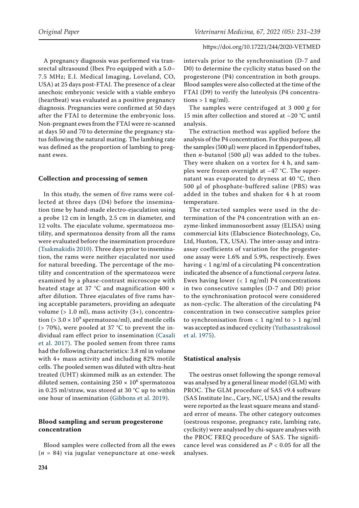A pregnancy diagnosis was performed via transrectal ultrasound (Ibex Pro equipped with a 5.0– 7.5 MHz; E.I. Medical Imaging, Loveland, CO, USA) at 25 days post-FTAI. The presence of a clear anechoic embryonic vesicle with a viable embryo (heartbeat) was evaluated as a positive pregnancy diagnosis. Pregnancies were confirmed at 50 days after the FTAI to determine the embryonic loss. Non-pregnant ewes from the FTAI were re-scanned at days 50 and 70 to determine the pregnancy status following the natural mating. The lambing rate was defined as the proportion of lambing to pregnant ewes.

## **Collection and processing of semen**

In this study, the semen of five rams were collected at three days (D4) before the insemination time by hand-made electro-ejaculation using a probe 12 cm in length, 2.5 cm in diameter, and 12 volts. The ejaculate volume, spermatozoa motility, and spermatozoa density from all the rams were evaluated before the insemination procedure ([Tsakmakidis 2010\)](#page-8-3). Three days prior to insemination, the rams were neither ejaculated nor used for natural breeding. The percentage of the motility and concentration of the spermatozoa were examined by a phase-contrast microscope with heated stage at 37  $°C$  and magnification 400  $\times$ after dilution. Three ejaculates of five rams having acceptable parameters, providing an adequate volume (> 1.0 ml), mass activity (3+), concentration (>  $3.0 \times 10^9$  spermatozoa/ml), and motile cells (> 70%), were pooled at 37 °C to prevent the individual ram effect prior to insemination [\(Casali](#page-7-9)  [et al. 2017\)](#page-7-9). The pooled semen from three rams had the following characteristics: 3.8 ml in volume with 4+ mass activity and including 82% motile cells. The pooled semen was diluted with ultra-heat treated (UHT) skimmed milk as an extender. The diluted semen, containing 250  $\times$  10<sup>6</sup> spermatozoa in 0.25 ml/straw, was stored at 30 °C up to within one hour of insemination [\(Gibbons et al. 2019](#page-7-10)).

# **Blood sampling and serum progesterone concentration**

Blood samples were collected from all the ewes (*n* = 84) via jugular venepuncture at one-week intervals prior to the synchronisation (D-7 and D0) to determine the cyclicity status based on the progesterone (P4) concentration in both groups. Blood samples were also collected at the time of the FTAI (D9) to verify the luteolysis (P4 concentrations  $> 1$  ng/ml).

The samples were centrifuged at 3 000 *g* for 15 min after collection and stored at –20 °C until analysis.

The extraction method was applied before the analysis of the P4 concentration. For this purpose, all the samples (500 µl) were placed in Eppendorf tubes, then  $n$ -butanol (500  $\mu$ l) was added to the tubes. They were shaken on a vortex for 4 h, and samples were frozen overnight at –47 °C. The supernatant was evaporated to dryness at 40 °C, then 500  $\mu$ l of phosphate-buffered saline (PBS) was added in the tubes and shaken for 4 h at room temperature.

The extracted samples were used in the determination of the P4 concentration with an enzyme-linked immunosorbent assay (ELISA) using commercial kits (Elabscience Biotechnology, Co, Ltd, Huston, TX, USA). The inter-assay and intraassay coefficients of variation for the progesterone assay were 1.6% and 5.9%, respectively. Ewes having < 1 ng/ml of a circulating P4 concentration indicated the absence of a functional *corpora lutea*. Ewes having lower  $(< 1$  ng/ml) P4 concentrations in two consecutive samples (D-7 and D0) prior to the synchronisation protocol were considered as non-cyclic. The alteration of the circulating P4 concentration in two consecutive samples prior to synchronisation from  $< 1$  ng/ml to  $> 1$  ng/ml was accepted as induced cyclicity ([Yuthasastrakosol](#page-8-4) [et al. 1975](#page-8-4)).

# **Statistical analysis**

The oestrus onset following the sponge removal was analysed by a general linear model (GLM) with PROC. The GLM procedure of SAS v9.4 software (SAS Institute Inc., Cary, NC, USA) and the results were reported as the least square means and standard error of means. The other category outcomes (oestrous response, pregnancy rate, lambing rate, cyclicity) were analysed by chi-square analyses with the PROC FREQ procedure of SAS. The significance level was considered as *P* < 0.05 for all the analyses.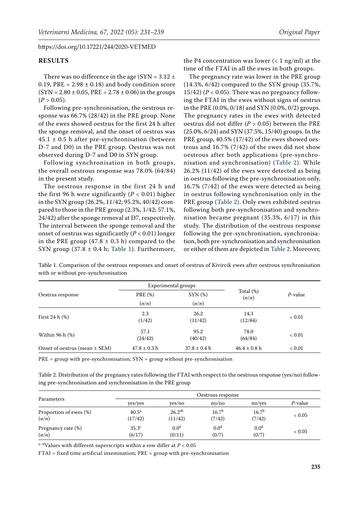# **RESULTS**

There was no difference in the age (SYN =  $3.12 \pm$ 0.19, PRE =  $2.98 \pm 0.18$  and body condition score  $(SYN = 2.80 \pm 0.05, PRE = 2.78 \pm 0.06)$  in the groups  $(P > 0.05)$ .

Following pre-synchronisation, the oestrous response was 66.7% (28/42) in the PRE group. None of the ewes showed oestrus for the first 24 h after the sponge removal, and the onset of oestrus was  $45.1 \pm 0.5$  h after pre-synchronisation (between D-7 and D0) in the PRE group. Oestrus was not observed during D-7 and D0 in SYN group.

Following synchronisation in both groups, the overall oestrous response was 78.0% (64/84) in the present study.

The oestrous response in the first 24 h and the first 96 h were significantly  $(P < 0.01)$  higher in the SYN group (26.2%, 11/42; 95.2%, 40/42) compared to those in the PRE group (2.3%, 1/42; 57.1%, 24/42) after the sponge removal at D7, respectively. The interval between the sponge removal and the onset of oestrus was significantly (*P* < 0.01) longer in the PRE group  $(47.8 \pm 0.3 \text{ h})$  compared to the SYN group  $(37.8 \pm 0.4 \text{ h}; \text{Table 1}).$  Furthermore,

the P4 concentration was lower  $(< 1$  ng/ml) at the time of the FTAI in all the ewes in both groups.

The pregnancy rate was lower in the PRE group (14.3%, 6/42) compared to the SYN group (35.7%, 15/42) ( $P < 0.05$ ). There was no pregnancy following the FTAI in the ewes without signs of oestrus in the PRE (0.0%, 0/18) and SYN (0.0%, 0/2) groups. The pregnancy rates in the ewes with detected oestrus did not differ (*P* > 0.05) between the PRE (25.0%, 6/24) and SYN (37.5%, 15/40) groups. In the PRE group, 40.5% (17/42) of the ewes showed oestrous and 16.7% (7/42) of the ewes did not show oestrous after both applications (pre-synchronisation and synchronisation) ([Table 2](#page-4-1)). While 26.2% (11/42) of the ewes were detected as being in oestrus following the pre-synchronisation only, 16.7% (7/42) of the ewes were detected as being in oestrus following synchronisation only in the PRE group ([Table 2](#page-4-1)). Only ewes exhibited oestrus following both pre-synchronisation and synchronisation became pregnant (35.3%, 6/17) in this study. The distribution of the oestrous response following the pre-synchronisation, synchronisation, both pre-synchronisation and synchronisation or either of them are depicted in [Table 2.](#page-4-1) Moreover,

<span id="page-4-0"></span>Table 1. Comparison of the oestrous responses and onset of oestrus of Kivircik ewes after oestrous synchronisation with or without pre-synchronisation

| Oestrus response                  |                         | Experimental groups   |                       | $P$ -value |
|-----------------------------------|-------------------------|-----------------------|-----------------------|------------|
|                                   | <b>PRE</b> (%)<br>(n/n) | $SYN$ $(\%)$<br>(n/n) | Total $(\%)$<br>(n/n) |            |
| First 24 $h$ $(\%)$               | 2.3<br>(1/42)           | 26.2<br>(11/42)       | 14.3<br>(12/84)       | < 0.01     |
| Within 96 h (%)                   | 57.1<br>(24/42)         | 95.2<br>(40/42)       | 78.0<br>(64/84)       | < 0.01     |
| Onset of oestrus (mean $\pm$ SEM) | $47.8 \pm 0.3$ h        | $37.8 \pm 0.4 h$      | $46.4 \pm 0.8$ h      | < 0.01     |

 $PRE = group$  with pre-synchronisation;  $SYN = group$  without pre-synchronisation

<span id="page-4-1"></span>Table 2. Distribution of the pregnancy rates following the FTAI with respect to the oestrous response (yes/no) following pre-synchronisation and synchronisation in the PRE group

| Parameters             |                   | Oestrous response |                   |                   |         |  |  |
|------------------------|-------------------|-------------------|-------------------|-------------------|---------|--|--|
|                        | yes/yes           | yes/no            | no/no             | no/ves            | P-value |  |  |
| Proportion of ewes (%) | 40.5 <sup>a</sup> | $26.2^{ab}$       | 16.7 <sup>b</sup> | 16.7 <sup>b</sup> | < 0.05  |  |  |
| (n/n)                  | (17/42)           | (11/42)           | (7/42)            | (7/42)            |         |  |  |
| Pregnancy rate (%)     | 35.3 <sup>c</sup> | 0.0 <sup>d</sup>  | 0.0 <sup>d</sup>  | 0.0 <sup>d</sup>  | < 0.05  |  |  |
| (n/n)                  | (6/17)            | (0/11)            | (0/7)             | (0/7)             |         |  |  |

 $a-d$ Values with different superscripts within a row differ at  $P < 0.05$ 

FTAI = fixed time artificial insemination; PRE = group with pre-synchronisation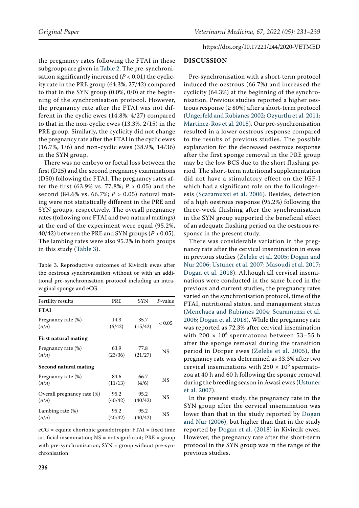the pregnancy rates following the FTAI in these subgroups are given in [Table 2](#page-4-1). The pre-synchronisation significantly increased  $(P < 0.01)$  the cyclicity rate in the PRE group (64.3%, 27/42) compared to that in the SYN group (0.0%, 0/0) at the beginning of the synchronisation protocol. However, the pregnancy rate after the FTAI was not different in the cyclic ewes (14.8%, 4/27) compared to that in the non-cyclic ewes (13.3%, 2/15) in the PRE group. Similarly, the cyclicity did not change the pregnancy rate after the FTAI in the cyclic ewes (16.7%, 1/6) and non-cyclic ewes (38.9%, 14/36) in the SYN group.

There was no embryo or foetal loss between the first (D25) and the second pregnancy examinations (D50) following the FTAI. The pregnancy rates after the first (63.9% vs. 77.8%; *P* > 0.05) and the second (84.6% vs. 66.7%; *P* > 0.05) natural mating were not statistically different in the PRE and SYN groups, respectively. The overall pregnancy rates (following one FTAI and two natural matings) at the end of the experiment were equal (95.2%, 40/42) between the PRE and SYN groups  $(P > 0.05)$ . The lambing rates were also 95.2% in both groups in this study ([Table 3\)](#page-5-0).

<span id="page-5-0"></span>Table 3. Reproductive outcomes of Kivircik ewes after the oestrous synchronisation without or with an additional pre-synchronisation protocol including an intravaginal sponge and eCG

| Fertility results            | PRE     | <b>SYN</b> | $P$ -value |
|------------------------------|---------|------------|------------|
| <b>FTAI</b>                  |         |            |            |
| Pregnancy rate (%)           | 14.3    | 35.7       | < 0.05     |
| (n/n)                        | (6/42)  | (15/42)    |            |
| First natural mating         |         |            |            |
| Pregnancy rate (%)           | 63.9    | 77.8       | NS         |
| (n/n)                        | (23/36) | (21/27)    |            |
| <b>Second natural mating</b> |         |            |            |
| Pregnancy rate (%)           | 84.6    | 66.7       | NS.        |
| (n/n)                        | (11/13) | (4/6)      |            |
| Overall pregnancy rate (%)   | 95.2    | 95.2       | NS         |
| (n/n)                        | (40/42) | (40/42)    |            |
| Lambing rate (%)             | 95.2    | 95.2       | NS         |
| (n/n)                        | (40/42) | (40/42)    |            |

 $eCG =$  equine chorionic gonadotropin;  $FTAI = fixed$  time artificial insemination; NS = not significant; PRE = group with pre-synchronisation; SYN = group without pre-synchronisation

# https://doi.org/10.17221/244/2020-VETMED

## **DISCUSSION**

Pre-synchronisation with a short-term protocol induced the oestrous (66.7%) and increased the cyclicity (64.3%) at the beginning of the synchronisation. Previous studies reported a higher oestrous response ( $\geq 80\%$ ) after a short-term protocol [\(Ungerfeld and Rubianes 2002;](#page-8-0) [Ozyurtlu et al. 2011](#page-7-11); [Martinez-Ros et al. 2018\)](#page-7-12). Our pre-synchronisation resulted in a lower oestrous response compared to the results of previous studies. The possible explanation for the decreased oestrous response after the first sponge removal in the PRE group may be the low BCS due to the short flushing period. The short-term nutritional supplementation did not have a stimulatory effect on the IGF-I which had a significant role on the folliculogenesis ([Scaramuzzi et al. 2006\)](#page-8-5). Besides, detection of a high oestrous response (95.2%) following the three-week flushing after the synchronisation in the SYN group supported the beneficial effect of an adequate flushing period on the oestrous response in the present study.

There was considerable variation in the pregnancy rate after the cervical insemination in ewes in previous studies ([Zeleke et al. 2005;](#page-8-6) [Dogan and](#page-7-13) [Nur 2006](#page-7-13); [Ustuner et al. 2007;](#page-8-7) [Masoudi et al. 2017](#page-7-14); [Dogan et al. 2018\)](#page-7-15). Although all cervical inseminations were conducted in the same breed in the previous and current studies, the pregnancy rates varied on the synchronisation protocol, time of the FTAI, nutritional status, and management status [\(Menchaca and Rubianes 2004;](#page-7-16) [Scaramuzzi et al.](#page-8-5) [2006;](#page-8-5) [Dogan et al. 2018](#page-7-15)). While the pregnancy rate was reported as 72.3% after cervical insemination with  $200 \times 10^6$  spermatozoa between 53–55 h after the sponge removal during the transition period in Dorper ewes ([Zeleke et al. 2005](#page-8-6)), the pregnancy rate was determined as 33.3% after two cervical inseminations with  $250 \times 10^6$  spermatozoa at 40 h and 60 h following the sponge removal during the breeding season in Awasi ewes ([Ustuner](#page-8-7) [et al. 2007](#page-8-7)).

In the present study, the pregnancy rate in the SYN group after the cervical insemination was lower than that in the study reported by [Dogan](#page-7-13) [and Nur \(2006\)](#page-7-13), but higher than that in the study reported by [Dogan et al. \(2018\)](#page-7-15) in Kivircik ewes. However, the pregnancy rate after the short-term protocol in the SYN group was in the range of the previous studies.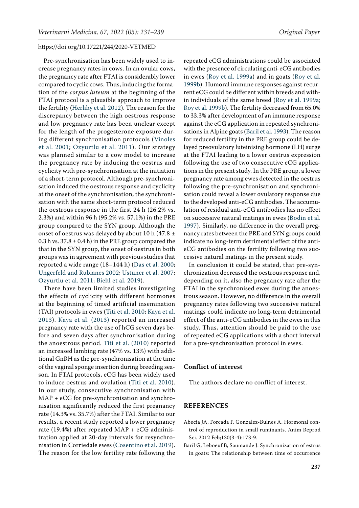Pre-synchronisation has been widely used to increase pregnancy rates in cows. In an ovular cows, the pregnancy rate after FTAI is considerably lower compared to cyclic cows. Thus, inducing the formation of the *corpus luteum* at the beginning of the FTAI protocol is a plausible approach to improve the fertility ([Herlihy et al. 2012\)](#page-7-17). The reason for the discrepancy between the high oestrous response and low pregnancy rate has been unclear except for the length of the progesterone exposure during different synchronisation protocols ([Vinoles](#page-8-2)  [et al. 2001;](#page-8-2) [Ozyurtlu et al. 2011](#page-7-11)). Our strategy was planned similar to a cow model to increase the pregnancy rate by inducing the oestrus and cyclicity with pre-synchronisation at the initiation of a short-term protocol. Although pre-synchronisation induced the oestrous response and cyclicity at the onset of the synchronisation, the synchronisation with the same short-term protocol reduced the oestrous response in the first 24 h (26.2% vs. 2.3%) and within 96 h (95.2% vs. 57.1%) in the PRE group compared to the SYN group. Although the onset of oestrus was delayed by about 10 h (47.8 ± 0.3 h vs.  $37.8 \pm 0.4$  h) in the PRE group compared the that in the SYN group, the onset of oestrus in both groups was in agreement with previous studies that reported a wide range (18–144 h) ([Das et al. 2000](#page-7-18); [Ungerfeld and Rubianes 2002](#page-8-0); [Ustuner et al. 2007](#page-8-7); [Ozyurtlu et al. 2011;](#page-7-11) [Biehl et al. 2019](#page-7-3)).

There have been limited studies investigating the effects of cyclicity with different hormones at the beginning of timed artificial insemination (TAI) protocols in ewes ([Titi et al. 2010;](#page-8-8) [Kaya et al.](#page-7-4)  [2013](#page-7-4)). [Kaya et al. \(2013\)](#page-7-4) reported an increased pregnancy rate with the use of hCG seven days before and seven days after synchronisation during the anoestrous period. [Titi et al. \(2010\)](#page-8-8) reported an increased lambing rate (47% vs. 13%) with additional GnRH as the pre-synchronisation at the time of the vaginal sponge insertion during breeding season. In FTAI protocols, eCG has been widely used to induce oestrus and ovulation ([Titi et al. 2010\)](#page-8-8). In our study, consecutive synchronisation with MAP + eCG for pre-synchronisation and synchronisation significantly reduced the first pregnancy rate (14.3% vs. 35.7%) after the FTAI. Similar to our results, a recent study reported a lower pregnancy rate (19.4%) after repeated MAP + eCG administration applied at 20-day intervals for resynchronisation in Corriedale ewes ([Cosentino et al. 2019\)](#page-7-19). The reason for the low fertility rate following the

repeated eCG administrations could be associated with the presence of circulating anti-eCG antibodies in ewes ([Roy et al. 1999a\)](#page-7-20) and in goats ([Roy et al.](#page-8-9) [1999b](#page-8-9)). Humoral immune responses against recurrent eCG could be different within breeds and within individuals of the same breed ([Roy et al. 1999a](#page-7-20); [Roy et al. 1999b](#page-8-9)). The fertility decreased from 65.0% to 33.3% after development of an immune response against the eCG application in repeated synchronisations in Alpine goats [\(Baril et al. 1993\)](#page-6-1). The reason for reduced fertility in the PRE group could be delayed preovulatory luteinising hormone (LH) surge at the FTAI leading to a lower oestrus expression following the use of two consecutive eCG applications in the present study. In the PRE group, a lower pregnancy rate among ewes detected in the oestrus following the pre-synchronisation and synchronisation could reveal a lower ovulatory response due to the developed anti-eCG antibodies. The accumulation of residual anti-eCG antibodies has no effect on successive natural matings in ewes [\(Bodin et al.](#page-7-21) [1997](#page-7-21)). Similarly, no difference in the overall pregnancy rates between the PRE and SYN groups could indicate no long-term detrimental effect of the antieCG antibodies on the fertility following two successive natural matings in the present study.

In conclusion it could be stated, that pre-synchronization decreased the oestrous response and, depending on it, also the pregnancy rate after the FTAI in the synchronised ewes during the anoestrous season. However, no difference in the overall pregnancy rates following two successive natural matings could indicate no long-term detrimental effect of the anti-eCG antibodies in the ewes in this study. Thus, attention should be paid to the use of repeated eCG applications with a short interval for a pre-synchronisation protocol in ewes.

## **Conflict of interest**

The authors declare no conflict of interest.

# **REFERENCES**

- <span id="page-6-0"></span>Abecia JA, Forcada F, Gonzalez-Bulnes A. Hormonal control of reproduction in small ruminants. Anim Reprod Sci. 2012 Feb;130(3-4):173-9.
- <span id="page-6-1"></span>Baril G, Leboeuf B, Saumande J. Synchronization of estrus in goats: The relationship between time of occurrence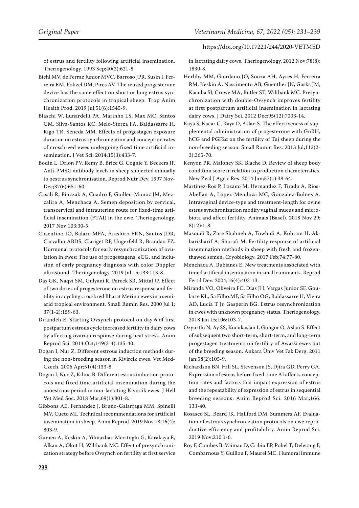of estrus and fertility following artificial insemination. Theriogenology. 1993 Sep;40(3):621-8.

<span id="page-7-3"></span>Biehl MV, de Ferraz Junior MVC, Barroso JPR, Susin I, Ferreira EM, Polizel DM, Pires AV. The reused progesterone device has the same effect on short or long estrus synchronization protocols in tropical sheep. Trop Anim Health Prod. 2019 Jul;51(6):1545-9.

<span id="page-7-2"></span>Blaschi W, Lunardelli PA, Marinho LS, Max MC, Santos GM, Silva-Santos KC, Melo-Sterza FA, Baldassarre H, Rigo TR, Seneda MM. Effects of progestagen exposure duration on estrus synchronization and conception rates of crossbreed ewes undergoing fixed time artificial insemination. J Vet Sci. 2014;15(3):433-7.

<span id="page-7-21"></span>Bodin L, Drion PV, Remy B, Brice G, Cognie Y, Beckers JF. Anti-PMSG antibody levels in sheep subjected annually to oestrus synchronisation. Reprod Nutr Dev. 1997 Nov-Dec;37(6):651-60.

<span id="page-7-9"></span>Casali R, Pinczak A, Cuadro F, Guillen-Munoz JM, Mezzalira A, Menchaca A. Semen deposition by cervical, transcervical and intrauterine route for fixed-time artificial insemination (FTAI) in the ewe. Theriogenology. 2017 Nov;103:30-5.

<span id="page-7-19"></span>Cosentino IO, Balaro MFA, Arashiro EKN, Santos JDR, Carvalho ABDS, Clariget RP, Ungerfeld R, Brandao FZ. Hormonal protocols for early resynchronization of ovulation in ewes: The use of progestagens, eCG, and inclusion of early pregnancy diagnosis with color Doppler ultrasound. Theriogenology. 2019 Jul 15;133:113-8.

<span id="page-7-18"></span>Das GK, Naqvi SM, Gulyani R, Pareek SR, Mittal JP. Effect of two doses of progesterone on estrus response and fertility in acycling crossbred Bharat Merino ewes in a semiarid tropical environment. Small Rumin Res. 2000 Jul 1; 37(1-2):159-63.

<span id="page-7-5"></span>Dirandeh E. Starting Ovsynch protocol on day 6 of first postpartum estrous cycle increased fertility in dairy cows by affecting ovarian response during heat stress. Anim Reprod Sci. 2014 Oct;149(3-4):135-40.

<span id="page-7-13"></span>Dogan I, Nur Z. Different estrous induction methods during the non-breeding season in Kivircik ewes. Vet Med-Czech. 2006 Apr;51(4):133-8.

<span id="page-7-15"></span>Dogan I, Nur Z, Kilinc B. Different estrus induction protocols and fixed time artificial insemination during the anoestrous period in non-lactating Kivircik ewes. J Hell Vet Med Soc. 2018 Mar;69(1):801-8.

<span id="page-7-10"></span>Gibbons AE, Fernandez J, Bruno-Galarraga MM, Spinelli MV, Cueto MI. Technical recommendations for artificial insemination in sheep. Anim Reprod. 2019 Nov 18;16(4): 803-9.

<span id="page-7-6"></span>Gumen A, Keskin A, Yilmazbas-Mecitoglu G, Karakaya E, Alkan A, Okut H, Wiltbank MC. Effect of presynchronization strategy before Ovsynch on fertility at first service in lactating dairy cows. Theriogenology. 2012 Nov;78(8): 1830-8.

<span id="page-7-17"></span>Herlihy MM, Giordano JO, Souza AH, Ayres H, Ferreira RM, Keskin A, Nascimento AB, Guenther JN, Gaska JM, Kacuba SJ, Crowe MA, Butler ST, Wiltbank MC. Presynchronization with double-Ovsynch improves fertility at first postpartum artificial insemination in lactating dairy cows. J Dairy Sci. 2012 Dec;95(12):7003-14.

<span id="page-7-4"></span>Kaya S, Kacar C, Kaya D, Aslan S. The effectiveness of supplemental administration of progesterone with GnRH, hCG and PGF2α on the fertility of Tuj sheep during the non-breeding season. Small Rumin Res. 2013 Jul;113(2- 3):365-70.

<span id="page-7-8"></span>Kenyon PR, Maloney SK, Blache D. Review of sheep body condition score in relation to production characteristics. New Zeal J Agric Res. 2014 Jun;57(1):38-64.

<span id="page-7-12"></span>Martinez-Ros P, Lozano M, Hernandez F, Tirado A, Rios-Abellan A, Lopez-Mendoza MC, Gonzalez-Bulnes A. Intravaginal device-type and treatment-length for ovine estrus synchronization modify vaginal mucus and microbiota and affect fertility. Animals (Basel). 2018 Nov 29;  $8(12):1-8.$ 

<span id="page-7-14"></span>Masoudi R, Zare Shahneh A, Towhidi A, Kohram H, Akbarisharif A, Sharafi M. Fertility response of artificial insemination methods in sheep with fresh and frozenthawed semen. Cryobiology. 2017 Feb;74:77-80.

<span id="page-7-16"></span>Menchaca A, Rubianes E. New treatments associated with timed artificial insemination in small ruminants. Reprod Fertil Dev. 2004;16(4):403-13.

<span id="page-7-1"></span>Miranda VO, Oliveira FC, Dias JH, Vargas Junior SF, Goularte KL, Sa Filho MF, Sa Filho OG, Baldassarre H, Vieira AD, Lucia T Jr, Gasperin BG. Estrus resynchronization in ewes with unknown pregnancy status. Theriogenology. 2018 Jan 15;106:103-7.

<span id="page-7-11"></span>Ozyurtlu N, Ay SS, Kucukaslan I, Gungor O, Aslan S. Effect of subsequent two short-term, short-term, and long-term progestagen treatments on fertility of Awassi ewes out of the breeding season. Ankara Üniv Vet Fak Derg. 2011 Jan;58(2):105-9.

<span id="page-7-7"></span>Richardson BN, Hill SL, Stevenson JS, Djira GD, Perry GA. Expression of estrus before fixed-time AI affects conception rates and factors that impact expression of estrus and the repeatability of expression of estrus in sequential breeding seasons. Anim Reprod Sci. 2016 Mar;166: 133-40.

<span id="page-7-0"></span>Rosasco SL, Beard JK, Hallford DM, Summers AF. Evaluation of estrous synchronization protocols on ewe reproductive efficiency and profitability. Anim Reprod Sci. 2019 Nov;210:1-6.

<span id="page-7-20"></span>Roy F, Combes B, Vaiman D, Cribiu EP, Pobel T, Deletang F, Combarnous Y, Guillou F, Maurel MC. Humoral immune